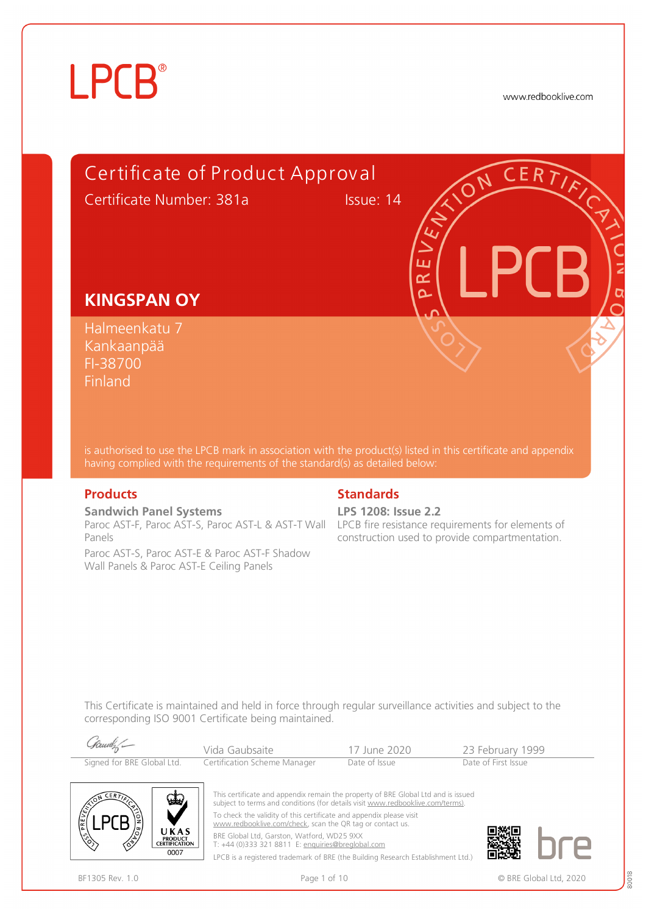# **LPCB**®

www.redbooklive.com



is authorised to use the LPCB mark in association with the product(s) listed in this certificate and appendix having complied with the requirements of the standard(s) as detailed below:

**Sandwich Panel Systems**  Paroc AST-F, Paroc AST-S, Paroc AST-L & AST-T Wall LPCB fire resistance requirements for elements of Panels

Paroc AST-S, Paroc AST-E & Paroc AST-F Shadow Wall Panels & Paroc AST-E Ceiling Panels

#### **Products** Standards **Standards**

**LPS 1208: Issue 2.2**

construction used to provide compartmentation.

This Certificate is maintained and held in force through regular surveillance activities and subject to the corresponding ISO 9001 Certificate being maintained.

| Gamely-                    | Vida Gaubsaite               | 17 June 2020  | 23 February 1999    |
|----------------------------|------------------------------|---------------|---------------------|
| Signed for BRE Global Ltd. | Certification Scheme Manager | Date of Issue | Date of First Issue |



This certificate and appendix remain the property of BRE Global Ltd and is issued subject to terms and conditions (for details visit [www.redbooklive.com/terms\).](http://www.redbooklive.com/terms)) To check the validity of this certificate and appendix please visit [www.redbooklive.com/check](http://www.redbooklive.com/check), scan the QR tag or contact us. BRE Global Ltd, Garston, Watford, WD25 9XX T: +44 (0)333 321 8811 E: [enquiries@breglobal.com](mailto:enquiries@breglobal.com)

LPCB is a registered trademark of BRE (the Building Research Establishment Ltd.)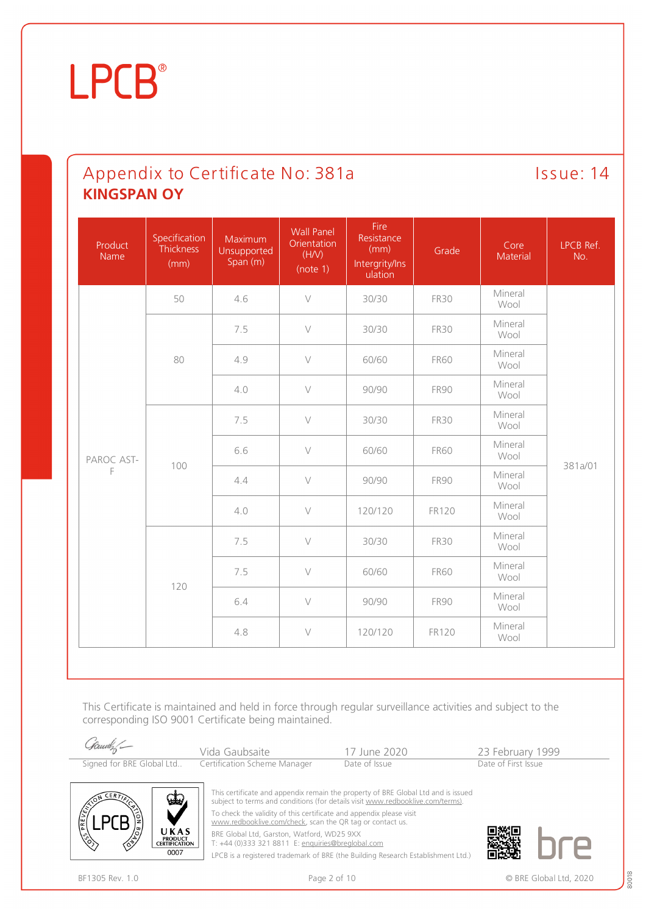### Appendix to Certificate No: 381a Issue: 14 **KINGSPAN OY**

| Product<br><b>Name</b> | Specification<br>Thickness<br>(mm) | Maximum<br>Unsupported<br>Span (m) | <b>Wall Panel</b><br>Orientation<br>(H/V)<br>(note 1) | Fire<br>Resistance<br>(mm)<br>Intergrity/Ins<br>ulation | Grade       | Core<br>Material | LPCB Ref.<br>No. |
|------------------------|------------------------------------|------------------------------------|-------------------------------------------------------|---------------------------------------------------------|-------------|------------------|------------------|
|                        | 50                                 | 4.6                                | $\vee$                                                | 30/30                                                   | <b>FR30</b> | Mineral<br>Wool  |                  |
|                        |                                    | 7.5                                | $\vee$                                                | 30/30                                                   | <b>FR30</b> | Mineral<br>Wool  |                  |
|                        | 80                                 | 4.9                                | $\vee$                                                | 60/60                                                   | <b>FR60</b> | Mineral<br>Wool  |                  |
|                        |                                    | 4.0                                | $\vee$                                                | 90/90                                                   | <b>FR90</b> | Mineral<br>Wool  |                  |
|                        | 100                                | 7.5                                | $\vee$                                                | 30/30                                                   | <b>FR30</b> | Mineral<br>Wool  |                  |
| PAROC AST-             |                                    | 6.6                                | $\vee$                                                | 60/60                                                   | <b>FR60</b> | Mineral<br>Wool  |                  |
| F                      |                                    | 4.4                                | $\vee$                                                | 90/90                                                   | <b>FR90</b> | Mineral<br>Wool  | 381a/01          |
|                        |                                    | 4.0                                | $\vee$                                                | 120/120                                                 | FR120       | Mineral<br>Wool  |                  |
|                        |                                    | 7.5                                | $\vee$                                                | 30/30                                                   | <b>FR30</b> | Mineral<br>Wool  |                  |
|                        | 120                                | 7.5                                | $\vee$                                                | 60/60                                                   | <b>FR60</b> | Mineral<br>Wool  |                  |
|                        |                                    | 6.4                                | $\vee$                                                | 90/90                                                   | <b>FR90</b> | Mineral<br>Wool  |                  |
|                        |                                    | 4.8                                | $\vee$                                                | 120/120                                                 | FR120       | Mineral<br>Wool  |                  |

This Certificate is maintained and held in force through regular surveillance activities and subject to the corresponding ISO 9001 Certificate being maintained.

| Gamely -                  | Vida Gaubsaite               | - 17 June 2020 | 23 February 1999    |
|---------------------------|------------------------------|----------------|---------------------|
| Signed for BRE Global Ltd | Certification Scheme Manager | Date of Issue  | Date of First Issue |



This certificate and appendix remain the property of BRE Global Ltd and is issued subject to terms and conditions (for details visit [www.redbooklive.com/terms\)](http://www.redbooklive.com/terms)). To check the validity of this certificate and appendix please visit [www.redbooklive.com/check,](http://www.redbooklive.com/check) scan the QR tag or contact us.

BRE Global Ltd, Garston, Watford, WD25 9XX

T: +44 (0)333 321 8811 E: [enquiries@breglobal.com](mailto:enquiries@breglobal.com)

LPCB is a registered trademark of BRE (the Building Research Establishment Ltd.)

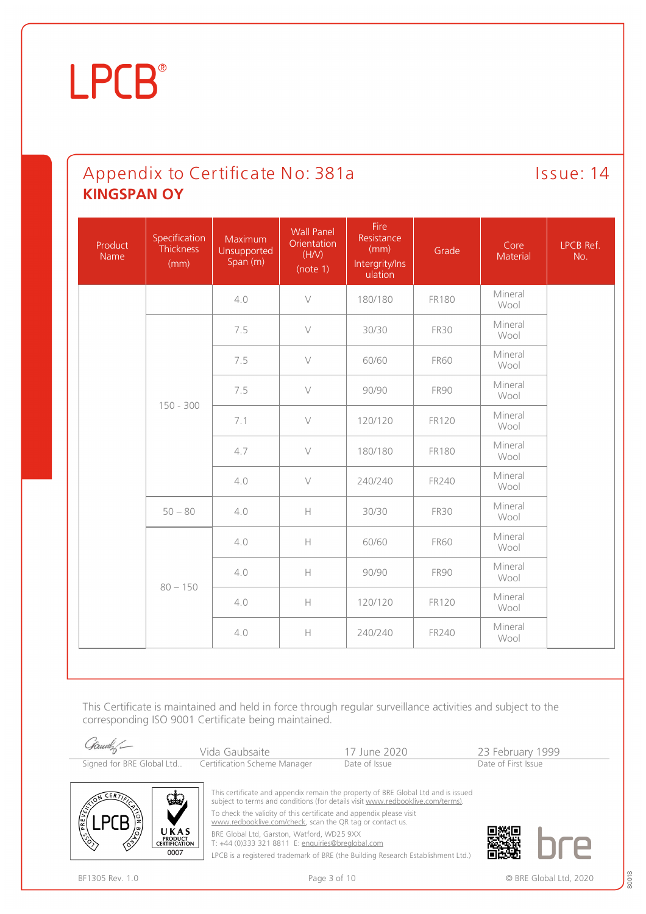### Appendix to Certificate No: 381a Issue: 14 **KINGSPAN OY**

| Product<br>Name | Specification<br>Thickness<br>(mm) | Maximum<br>Unsupported<br>Span (m) | <b>Wall Panel</b><br>Orientation<br>(H/V)<br>(note 1) | Fire<br>Resistance<br>(mm)<br>Intergrity/Ins<br>ulation | Grade        | Core<br>Material | LPCB Ref.<br>No. |
|-----------------|------------------------------------|------------------------------------|-------------------------------------------------------|---------------------------------------------------------|--------------|------------------|------------------|
|                 |                                    | 4.0                                | $\vee$                                                | 180/180                                                 | <b>FR180</b> | Mineral<br>Wool  |                  |
|                 |                                    | 7.5                                | $\vee$                                                | 30/30                                                   | <b>FR30</b>  | Mineral<br>Wool  |                  |
|                 |                                    | 7.5                                | $\vee$                                                | 60/60                                                   | <b>FR60</b>  | Mineral<br>Wool  |                  |
|                 | $150 - 300$                        | 7.5                                | $\vee$                                                | 90/90                                                   | <b>FR90</b>  | Mineral<br>Wool  |                  |
|                 |                                    | 7.1                                | $\vee$                                                | 120/120                                                 | FR120        | Mineral<br>Wool  |                  |
|                 |                                    | 4.7                                | $\vee$                                                | 180/180                                                 | <b>FR180</b> | Mineral<br>Wool  |                  |
|                 |                                    | 4.0                                | $\vee$                                                | 240/240                                                 | FR240        | Mineral<br>Wool  |                  |
|                 | $50 - 80$                          | 4.0                                | $\mathbb H$                                           | 30/30                                                   | <b>FR30</b>  | Mineral<br>Wool  |                  |
|                 |                                    | 4.0                                | $\mathbb H$                                           | 60/60                                                   | <b>FR60</b>  | Mineral<br>Wool  |                  |
|                 |                                    | 4.0                                | $\mathbb H$                                           | 90/90                                                   | <b>FR90</b>  | Mineral<br>Wool  |                  |
|                 | $80 - 150$                         | 4.0                                | $\mathbb H$                                           | 120/120                                                 | FR120        | Mineral<br>Wool  |                  |
|                 |                                    | 4.0                                | $\mathbb H$                                           | 240/240                                                 | FR240        | Mineral<br>Wool  |                  |

This Certificate is maintained and held in force through regular surveillance activities and subject to the corresponding ISO 9001 Certificate being maintained.

| Gamet - | Vida Gaubsaite                                         | 17 June 2020  | 23 February 1999    |  |
|---------|--------------------------------------------------------|---------------|---------------------|--|
|         | Signed for BRE Global Ltd Certification Scheme Manager | Date of Issue | Date of First Issue |  |
|         |                                                        |               |                     |  |



[www.redbooklive.com/check,](http://www.redbooklive.com/check) scan the QR tag or contact us.

BRE Global Ltd, Garston, Watford, WD25 9XX

T: +44 (0)333 321 8811 E: [enquiries@breglobal.com](mailto:enquiries@breglobal.com)

LPCB is a registered trademark of BRE (the Building Research Establishment Ltd.)



UKAS PRODUCT<br>CERTIFICATION  $0007$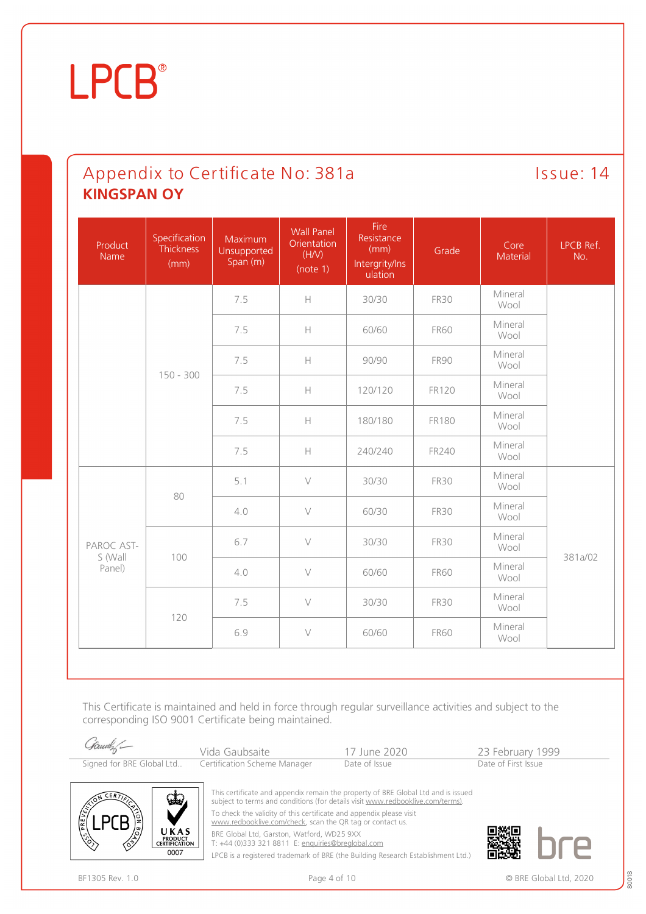### Appendix to Certificate No: 381a Issue: 14 **KINGSPAN OY**

| Product<br>Name   | Specification<br>Thickness<br>(mm) | Maximum<br>Unsupported<br>Span (m) | <b>Wall Panel</b><br>Orientation<br>(H/V)<br>(note 1)                                                         | Fire<br>Resistance<br>(mm)<br>Intergrity/Ins<br>ulation | Grade        | Core<br>Material | LPCB Ref.<br>No. |
|-------------------|------------------------------------|------------------------------------|---------------------------------------------------------------------------------------------------------------|---------------------------------------------------------|--------------|------------------|------------------|
|                   |                                    | 7.5                                | $\mathbb H$                                                                                                   | 30/30                                                   | <b>FR30</b>  | Mineral<br>Wool  |                  |
|                   |                                    | 7.5                                | $\mathbb H$                                                                                                   | 60/60                                                   | <b>FR60</b>  | Mineral<br>Wool  |                  |
|                   | $150 - 300$                        | 7.5                                | $\mathsf{H}% _{\mathsf{H}}^{\ast}(\mathcal{M}_{0})\rightarrow\mathsf{H}_{\mathsf{H}}^{\ast}(\mathcal{M}_{0})$ | 90/90                                                   | <b>FR90</b>  | Mineral<br>Wool  |                  |
|                   |                                    | 7.5                                | $\mathbb H$                                                                                                   | 120/120                                                 | <b>FR120</b> | Mineral<br>Wool  |                  |
|                   |                                    | 7.5                                | $\mathsf{H}% _{\mathsf{H}}^{\ast}(\mathcal{M}_{0})\rightarrow\mathsf{H}_{\mathsf{H}}^{\ast}(\mathcal{M}_{0})$ | 180/180                                                 | <b>FR180</b> | Mineral<br>Wool  |                  |
|                   |                                    | 7.5                                | $\mathbb H$                                                                                                   | 240/240                                                 | FR240        | Mineral<br>Wool  |                  |
|                   | 80                                 | 5.1                                | $\vee$                                                                                                        | 30/30                                                   | <b>FR30</b>  | Mineral<br>Wool  |                  |
|                   |                                    | 4.0                                | $\vee$                                                                                                        | 60/30                                                   | <b>FR30</b>  | Mineral<br>Wool  |                  |
| PAROC AST-        |                                    | 6.7                                | $\vee$                                                                                                        | 30/30                                                   | <b>FR30</b>  | Mineral<br>Wool  | 381a/02          |
| S (Wall<br>Panel) | 100                                | 4.0                                | $\vee$                                                                                                        | 60/60                                                   | <b>FR60</b>  | Mineral<br>Wool  |                  |
|                   | 120                                | 7.5                                | $\vee$                                                                                                        | 30/30                                                   | <b>FR30</b>  | Mineral<br>Wool  |                  |
|                   |                                    | 6.9                                | $\vee$                                                                                                        | 60/60                                                   | <b>FR60</b>  | Mineral<br>Wool  |                  |

This Certificate is maintained and held in force through regular surveillance activities and subject to the corresponding ISO 9001 Certificate being maintained.

| Samely | Vida Gaubsaite                                         | 17 June 2020  | 23 February 1999    |
|--------|--------------------------------------------------------|---------------|---------------------|
|        | Signed for BRE Global Ltd Certification Scheme Manager | Date of Issue | Date of First Issue |



This certificate and appendix remain the property of BRE Global Ltd and is issued subject to terms and conditions (for details visit [www.redbooklive.com/terms\)](http://www.redbooklive.com/terms)). To check the validity of this certificate and appendix please visit [www.redbooklive.com/check,](http://www.redbooklive.com/check) scan the QR tag or contact us.

BRE Global Ltd, Garston, Watford, WD25 9XX

T: +44 (0)333 321 8811 E: [enquiries@breglobal.com](mailto:enquiries@breglobal.com)

LPCB is a registered trademark of BRE (the Building Research Establishment Ltd.)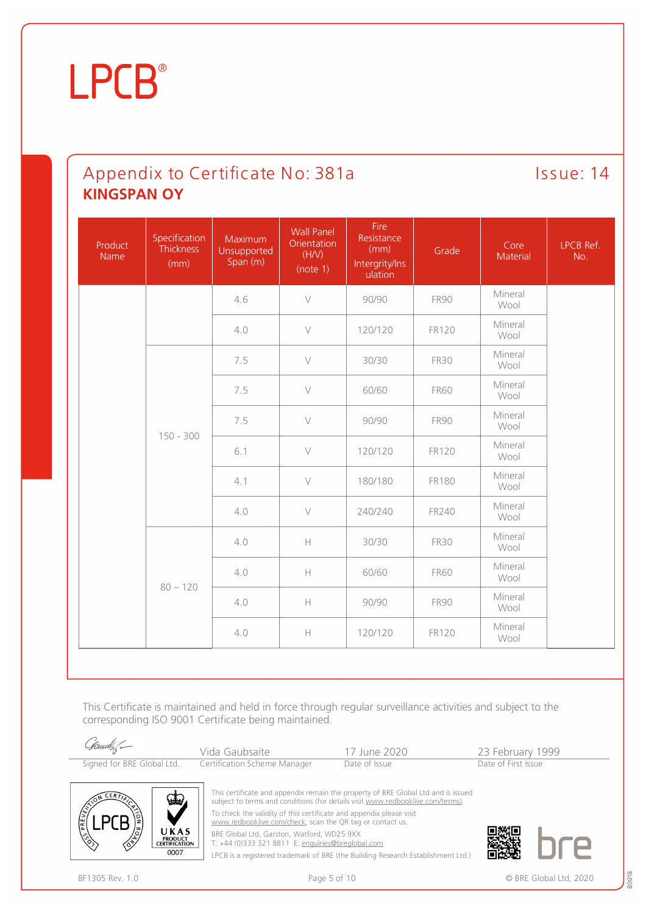### Appendix to Certificate No: 381a Issue: 14 **KINGSPAN OY**

| Product<br>Name | Specification<br>Thickness<br>(mm) | Maximum<br>Unsupported<br>Span (m) | <b>Wall Panel</b><br>Orientation<br>(H/V)<br>(note 1)                                        | Fire<br>Resistance<br>(mm)<br>Intergrity/Ins<br>ulation | Grade        | Core<br>Material | LPCB Ref.<br>No. |
|-----------------|------------------------------------|------------------------------------|----------------------------------------------------------------------------------------------|---------------------------------------------------------|--------------|------------------|------------------|
|                 |                                    | 4.6                                | $\vee$                                                                                       | 90/90                                                   | <b>FR90</b>  | Mineral<br>Wool  |                  |
|                 |                                    | 4.0                                | $\vee$                                                                                       | 120/120                                                 | <b>FR120</b> | Mineral<br>Wool  |                  |
|                 |                                    | 7.5                                | $\vee$                                                                                       | 30/30                                                   | <b>FR30</b>  | Mineral<br>Wool  |                  |
|                 |                                    | 7.5                                | $\vee$                                                                                       | 60/60                                                   | <b>FR60</b>  | Mineral<br>Wool  |                  |
|                 | $150 - 300$                        | 7.5                                | $\vee$                                                                                       | 90/90                                                   | <b>FR90</b>  | Mineral<br>Wool  |                  |
|                 |                                    | 6.1                                | $\vee$                                                                                       | 120/120                                                 | <b>FR120</b> | Mineral<br>Wool  |                  |
|                 |                                    | 4.1                                | $\vee$                                                                                       | 180/180                                                 | <b>FR180</b> | Mineral<br>Wool  |                  |
|                 |                                    | 4.0                                | $\vee$                                                                                       | 240/240                                                 | FR240        | Mineral<br>Wool  |                  |
| $80 - 120$      |                                    | 4.0                                | $\mathsf{H}% _{0}\left( \mathcal{M}_{0}\right) =\mathsf{H}_{0}\left( \mathcal{M}_{0}\right)$ | 30/30                                                   | <b>FR30</b>  | Mineral<br>Wool  |                  |
|                 |                                    | 4.0                                | H                                                                                            | 60/60                                                   | <b>FR60</b>  | Mineral<br>Wool  |                  |
|                 |                                    | 4.0                                | $\mathsf{H}% _{0}\left( \mathcal{M}_{0}\right) =\mathsf{H}_{0}\left( \mathcal{M}_{0}\right)$ | 90/90                                                   | <b>FR90</b>  | Mineral<br>Wool  |                  |
|                 |                                    | 4.0                                | $\mathord{\text{H}}$                                                                         | 120/120                                                 | <b>FR120</b> | Mineral<br>Wool  |                  |

This Certificate is maintained and held in force through regular surveillance activities and subject to the corresponding ISO 9001 Certificate being maintained.

| Gauch -     | Vida Gaubsaite                                                                    | 17 June 2020  | 23 February 1999    |  |
|-------------|-----------------------------------------------------------------------------------|---------------|---------------------|--|
|             | Signed for BRE Global Ltd Certification Scheme Manager                            | Date of Issue | Date of First Issue |  |
|             |                                                                                   |               |                     |  |
| $-1$<br>CFR | This certificate and appendix remain the property of BRE Global Ltd and is issued |               |                     |  |

subject to terms and conditions (for details visit [www.redbooklive.com/terms\)](http://www.redbooklive.com/terms)).

To check the validity of this certificate and appendix please visit

[www.redbooklive.com/check,](http://www.redbooklive.com/check) scan the QR tag or contact us.

BRE Global Ltd, Garston, Watford, WD25 9XX T: +44 (0)333 321 8811 E: [enquiries@breglobal.com](mailto:enquiries@breglobal.com)

LPCB is a registered trademark of BRE (the Building Research Establishment Ltd.)



UKAS PRODUCT<br>CERTIFICATION  $0007$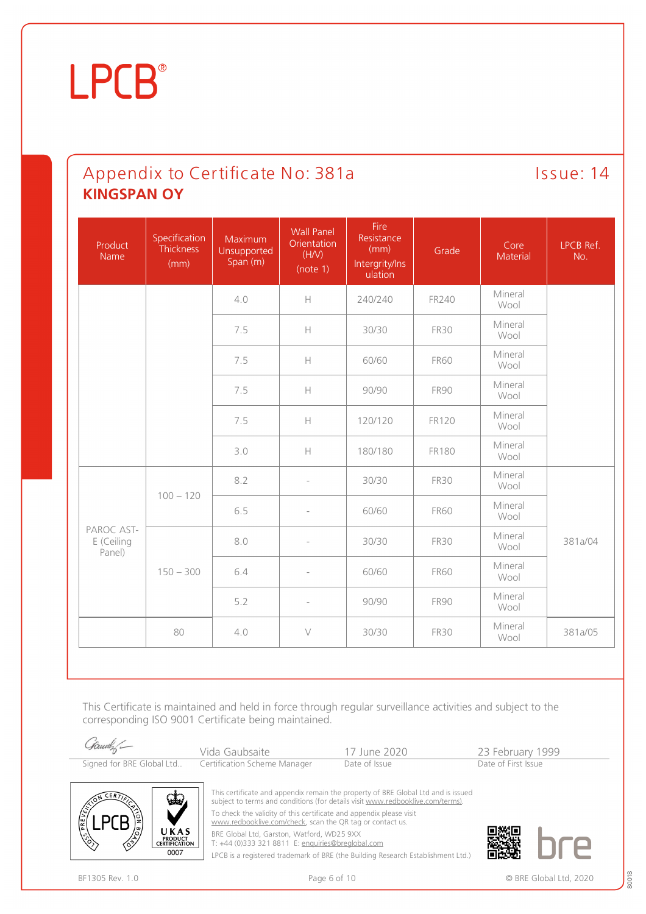### Appendix to Certificate No: 381a Issue: 14 **KINGSPAN OY**

| Product<br>Name                    | Specification<br>Thickness<br>(mm) | Maximum<br>Unsupported<br>Span (m) | <b>Wall Panel</b><br>Orientation<br>(H/V)<br>(note 1) | Fire<br>Resistance<br>(mm)<br>Intergrity/Ins<br>ulation | Grade        | Core<br>Material | LPCB Ref.<br>No. |
|------------------------------------|------------------------------------|------------------------------------|-------------------------------------------------------|---------------------------------------------------------|--------------|------------------|------------------|
|                                    |                                    | 4.0                                | $\mathbb H$                                           | 240/240                                                 | FR240        | Mineral<br>Wool  |                  |
|                                    |                                    | 7.5                                | $\mathbb H$                                           | 30/30                                                   | <b>FR30</b>  | Mineral<br>Wool  |                  |
|                                    |                                    | 7.5                                | $\mathsf H$                                           | 60/60                                                   | <b>FR60</b>  | Mineral<br>Wool  |                  |
|                                    |                                    | 7.5                                | $\mathsf H$                                           | 90/90                                                   | <b>FR90</b>  | Mineral<br>Wool  |                  |
|                                    |                                    | 7.5                                | $\mathord{\text{H}}$                                  | 120/120                                                 | <b>FR120</b> | Mineral<br>Wool  |                  |
|                                    |                                    | 3.0                                | $\mathbb H$                                           | 180/180                                                 | <b>FR180</b> | Mineral<br>Wool  |                  |
|                                    | $100 - 120$                        | 8.2                                | $\overline{\phantom{a}}$                              | 30/30                                                   | <b>FR30</b>  | Mineral<br>Wool  |                  |
|                                    |                                    | 6.5                                | $\overline{\phantom{a}}$                              | 60/60                                                   | <b>FR60</b>  | Mineral<br>Wool  |                  |
| PAROC AST-<br>E (Ceiling<br>Panel) | $150 - 300$                        | 8.0                                |                                                       | 30/30                                                   | <b>FR30</b>  | Mineral<br>Wool  | 381a/04          |
|                                    |                                    | 6.4                                | $\overline{\phantom{a}}$                              | 60/60                                                   | <b>FR60</b>  | Mineral<br>Wool  |                  |
|                                    |                                    | 5.2                                | $\overline{\phantom{a}}$                              | 90/90                                                   | <b>FR90</b>  | Mineral<br>Wool  |                  |
|                                    | 80                                 | 4.0                                | $\vee$                                                | 30/30                                                   | <b>FR30</b>  | Mineral<br>Wool  | 381a/05          |

This Certificate is maintained and held in force through regular surveillance activities and subject to the corresponding ISO 9001 Certificate being maintained.

| Samely | Vida Gaubsaite                                         | 17 June 2020  | 23 February 1999    |
|--------|--------------------------------------------------------|---------------|---------------------|
|        | Signed for BRE Global Ltd Certification Scheme Manager | Date of Issue | Date of First Issue |



This certificate and appendix remain the property of BRE Global Ltd and is issued subject to terms and conditions (for details visit [www.redbooklive.com/terms\)](http://www.redbooklive.com/terms)). To check the validity of this certificate and appendix please visit [www.redbooklive.com/check,](http://www.redbooklive.com/check) scan the QR tag or contact us.

BRE Global Ltd, Garston, Watford, WD25 9XX

T: +44 (0)333 321 8811 E: [enquiries@breglobal.com](mailto:enquiries@breglobal.com)

LPCB is a registered trademark of BRE (the Building Research Establishment Ltd.)



BF1305 Rev. 1.0 **BRE Global Ltd, 2020** Page 6 of 10 **Page 6 of 10 Case 8 and 2020** CHC BRE Global Ltd, 2020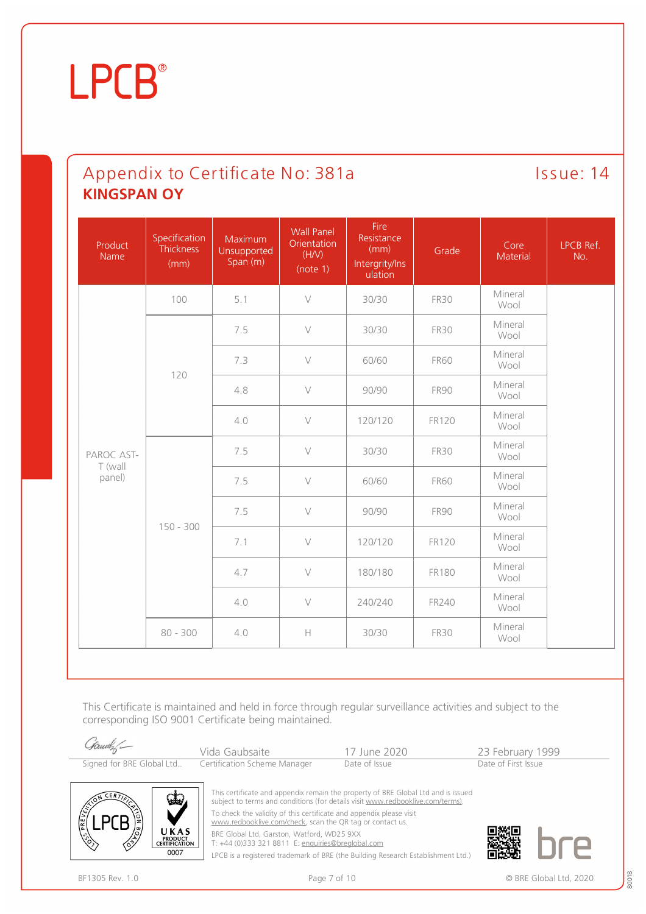### Appendix to Certificate No: 381a Issue: 14 **KINGSPAN OY**

| Product<br>Name       | Specification<br>Thickness<br>(mm) | Maximum<br>Unsupported<br>Span (m) | <b>Wall Panel</b><br>Orientation<br>(H/V)<br>(note 1) | Fire<br>Resistance<br>(mm)<br>Intergrity/Ins<br>ulation | Grade        | Core<br>Material | LPCB Ref.<br>No. |
|-----------------------|------------------------------------|------------------------------------|-------------------------------------------------------|---------------------------------------------------------|--------------|------------------|------------------|
|                       | 100                                | 5.1                                | $\vee$                                                | 30/30                                                   | <b>FR30</b>  | Mineral<br>Wool  |                  |
|                       |                                    | 7.5                                | $\vee$                                                | 30/30                                                   | <b>FR30</b>  | Mineral<br>Wool  |                  |
|                       | 120                                | 7.3                                | $\vee$                                                | 60/60                                                   | <b>FR60</b>  | Mineral<br>Wool  |                  |
|                       |                                    | 4.8                                | $\vee$                                                | 90/90                                                   | <b>FR90</b>  | Mineral<br>Wool  |                  |
|                       |                                    | 4.0                                | $\vee$                                                | 120/120                                                 | <b>FR120</b> | Mineral<br>Wool  |                  |
| PAROC AST-<br>T (wall | $150 - 300$                        | 7.5                                | $\vee$                                                | 30/30                                                   | <b>FR30</b>  | Mineral<br>Wool  |                  |
| panel)                |                                    | 7.5                                | $\vee$                                                | 60/60                                                   | <b>FR60</b>  | Mineral<br>Wool  |                  |
|                       |                                    | 7.5                                | $\vee$                                                | 90/90                                                   | <b>FR90</b>  | Mineral<br>Wool  |                  |
|                       |                                    | 7.1                                | $\vee$                                                | 120/120                                                 | <b>FR120</b> | Mineral<br>Wool  |                  |
|                       |                                    | 4.7                                | $\vee$                                                | 180/180                                                 | <b>FR180</b> | Mineral<br>Wool  |                  |
|                       |                                    | 4.0                                | $\vee$                                                | 240/240                                                 | FR240        | Mineral<br>Wool  |                  |
|                       | $80 - 300$                         | 4.0                                | $\mathbb H$                                           | 30/30                                                   | <b>FR30</b>  | Mineral<br>Wool  |                  |

This Certificate is maintained and held in force through regular surveillance activities and subject to the corresponding ISO 9001 Certificate being maintained.

| Samuely                   | Vida Gaubsaite               | 17 June 2020  | 23 February 1999    |  |
|---------------------------|------------------------------|---------------|---------------------|--|
| Signed for BRE Global Ltd | Certification Scheme Manager | Date of Issue | Date of First Issue |  |



This certificate and appendix remain the property of BRE Global Ltd and is issued subject to terms and conditions (for details visit [www.redbooklive.com/terms\)](http://www.redbooklive.com/terms)). To check the validity of this certificate and appendix please visit [www.redbooklive.com/check,](http://www.redbooklive.com/check) scan the QR tag or contact us.

BRE Global Ltd, Garston, Watford, WD25 9XX

T: +44 (0)333 321 8811 E: [enquiries@breglobal.com](mailto:enquiries@breglobal.com)

LPCB is a registered trademark of BRE (the Building Research Establishment Ltd.)

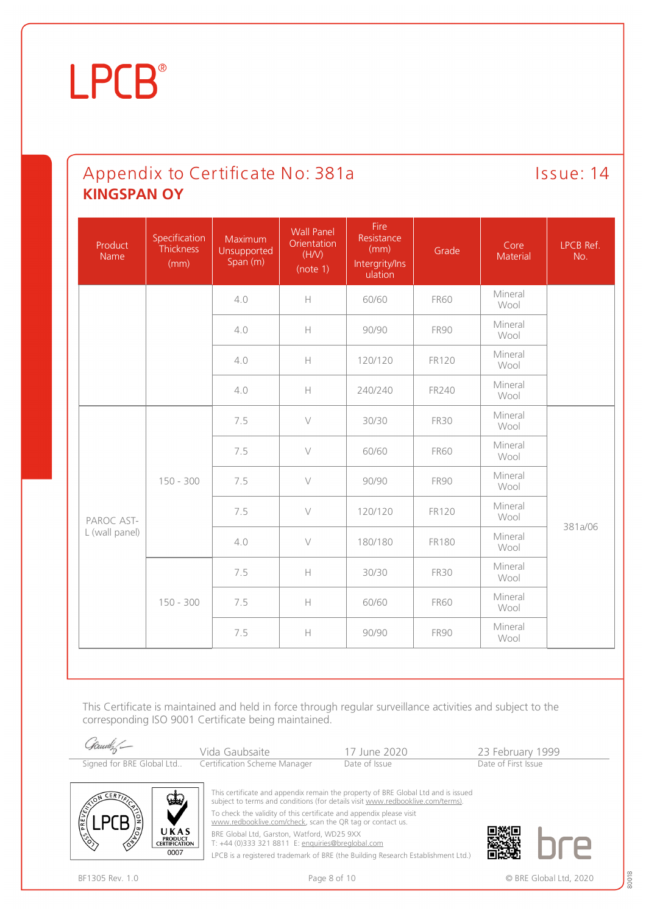### Appendix to Certificate No: 381a Issue: 14 **KINGSPAN OY**

| Product<br><b>Name</b>       | Specification<br>Thickness<br>(mm) | Maximum<br>Unsupported<br>Span (m) | <b>Wall Panel</b><br>Orientation<br>(H/V)<br>(note 1)                                                         | Fire<br>Resistance<br>(mm)<br>Intergrity/Ins<br>ulation | Grade        | Core<br>Material | LPCB Ref.<br>No. |
|------------------------------|------------------------------------|------------------------------------|---------------------------------------------------------------------------------------------------------------|---------------------------------------------------------|--------------|------------------|------------------|
|                              |                                    | 4.0                                | $\mathbb H$                                                                                                   | 60/60                                                   | <b>FR60</b>  | Mineral<br>Wool  |                  |
|                              |                                    | 4.0                                | $\mathsf{H}% _{\mathsf{H}}^{\ast}(\mathcal{M}_{0})\rightarrow\mathsf{H}_{\mathsf{H}}^{\ast}(\mathcal{M}_{0})$ | 90/90                                                   | <b>FR90</b>  | Mineral<br>Wool  |                  |
|                              |                                    | 4.0                                | $\mathsf{H}% _{\mathsf{H}}^{\ast}(\mathcal{M}_{0})\rightarrow\mathsf{H}_{\mathsf{H}}^{\ast}(\mathcal{M}_{0})$ | 120/120                                                 | <b>FR120</b> | Mineral<br>Wool  |                  |
|                              |                                    | 4.0                                | H                                                                                                             | 240/240                                                 | FR240        | Mineral<br>Wool  |                  |
| PAROC AST-<br>L (wall panel) | $150 - 300$<br>$150 - 300$         | 7.5                                | $\vee$                                                                                                        | 30/30                                                   | <b>FR30</b>  | Mineral<br>Wool  |                  |
|                              |                                    | 7.5                                | $\vee$                                                                                                        | 60/60                                                   | <b>FR60</b>  | Mineral<br>Wool  |                  |
|                              |                                    | 7.5                                | $\vee$                                                                                                        | 90/90                                                   | <b>FR90</b>  | Mineral<br>Wool  | 381a/06          |
|                              |                                    | 7.5                                | $\vee$                                                                                                        | 120/120                                                 | <b>FR120</b> | Mineral<br>Wool  |                  |
|                              |                                    | 4.0                                | $\vee$                                                                                                        | 180/180                                                 | <b>FR180</b> | Mineral<br>Wool  |                  |
|                              |                                    | 7.5                                | H                                                                                                             | 30/30                                                   | <b>FR30</b>  | Mineral<br>Wool  |                  |
|                              |                                    | 7.5                                | $\mathsf{H}% _{\mathsf{H}}^{\ast}(\mathcal{M}_{0})\rightarrow\mathsf{H}_{\mathsf{H}}^{\ast}(\mathcal{M}_{0})$ | 60/60                                                   | <b>FR60</b>  | Mineral<br>Wool  |                  |
|                              |                                    | 7.5                                | $\mathbb H$                                                                                                   | 90/90                                                   | <b>FR90</b>  | Mineral<br>Wool  |                  |

This Certificate is maintained and held in force through regular surveillance activities and subject to the corresponding ISO 9001 Certificate being maintained.

| Samely                    | Vida Gaubsaite               | 17 June 2020  | 23 February 1999    |  |
|---------------------------|------------------------------|---------------|---------------------|--|
| Signed for BRE Global Ltd | Certification Scheme Manager | Date of Issue | Date of First Issue |  |



This certificate and appendix remain the property of BRE Global Ltd and is issued subject to terms and conditions (for details visit [www.redbooklive.com/terms\)](http://www.redbooklive.com/terms)). To check the validity of this certificate and appendix please visit [www.redbooklive.com/check,](http://www.redbooklive.com/check) scan the QR tag or contact us.

BRE Global Ltd, Garston, Watford, WD25 9XX

T: +44 (0)333 321 8811 E: [enquiries@breglobal.com](mailto:enquiries@breglobal.com)

LPCB is a registered trademark of BRE (the Building Research Establishment Ltd.)

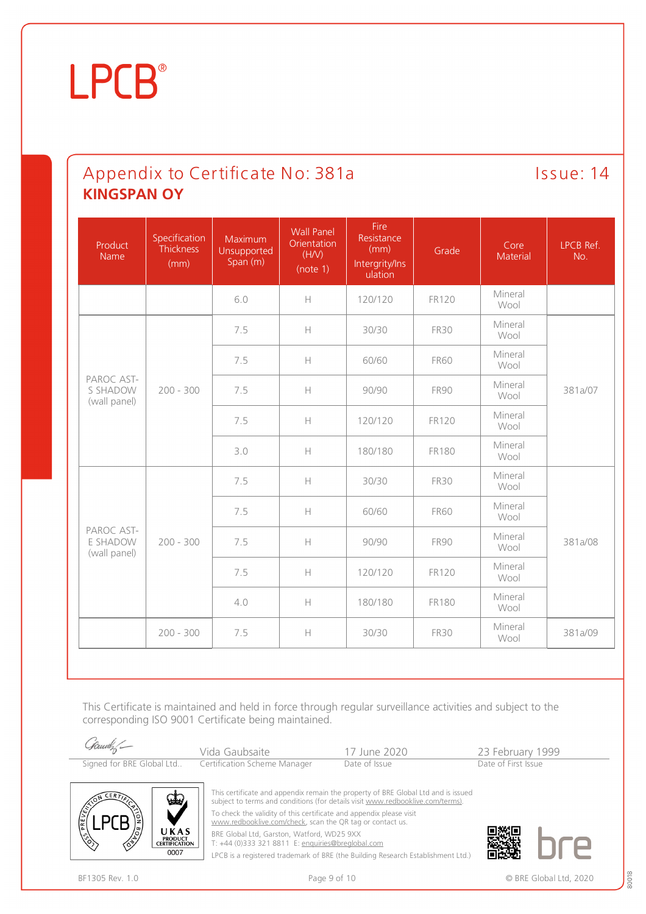### Appendix to Certificate No: 381a Issue: 14 **KINGSPAN OY**

| Product<br>Name                        | Specification<br><b>Thickness</b><br>(mm) | Maximum<br>Unsupported<br>Span (m)                     | <b>Wall Panel</b><br>Orientation<br>(H/V)<br>(note 1)                                          | Fire<br>Resistance<br>(mm)<br>Intergrity/Ins<br>ulation | Grade        | Core<br>Material | LPCB Ref.<br>No. |  |
|----------------------------------------|-------------------------------------------|--------------------------------------------------------|------------------------------------------------------------------------------------------------|---------------------------------------------------------|--------------|------------------|------------------|--|
|                                        |                                           | 6.0                                                    | $\mathbb H$                                                                                    | 120/120                                                 | <b>FR120</b> | Mineral<br>Wool  |                  |  |
|                                        |                                           | 7.5                                                    | $\mathbb H$                                                                                    | 30/30                                                   | <b>FR30</b>  | Mineral<br>Wool  |                  |  |
|                                        |                                           | 7.5                                                    | $\mathsf{H}% _{0}\left( \mathcal{M}_{0}\right) =\mathsf{H}_{0}\left( \mathcal{M}_{0}\right) ,$ | 60/60                                                   | <b>FR60</b>  | Mineral<br>Wool  |                  |  |
| PAROC AST-<br>S SHADOW<br>(wall panel) | $200 - 300$                               | 7.5                                                    | $\mathsf{H}% _{0}\left( \mathcal{M}_{0}\right) =\mathsf{H}_{0}\left( \mathcal{M}_{0}\right) ,$ | 90/90                                                   | <b>FR90</b>  | Mineral<br>Wool  | 381a/07          |  |
|                                        |                                           |                                                        | 7.5                                                                                            | $\mathord{\text{H}}$                                    | 120/120      | <b>FR120</b>     | Mineral<br>Wool  |  |
|                                        |                                           |                                                        | 3.0                                                                                            | $\mathbb H$                                             | 180/180      | <b>FR180</b>     | Mineral<br>Wool  |  |
| PAROC AST-<br>E SHADOW<br>(wall panel) | $200 - 300$                               |                                                        | 7.5                                                                                            | $\mathbb H$                                             | 30/30        | <b>FR30</b>      | Mineral<br>Wool  |  |
|                                        |                                           | 7.5                                                    | $\mathbb H$                                                                                    | 60/60                                                   | <b>FR60</b>  | Mineral<br>Wool  |                  |  |
|                                        |                                           | 7.5                                                    | $\mathbb H$                                                                                    | 90/90                                                   | <b>FR90</b>  | Mineral<br>Wool  | 381a/08          |  |
|                                        |                                           | 7.5<br>$\mathord{\text{H}}$<br>120/120<br><b>FR120</b> | Mineral<br>Wool                                                                                |                                                         |              |                  |                  |  |
|                                        |                                           | 4.0                                                    | $\mathbb H$                                                                                    | 180/180                                                 | <b>FR180</b> | Mineral<br>Wool  |                  |  |
|                                        | $200 - 300$                               | 7.5                                                    | $\mathbb H$                                                                                    | 30/30                                                   | <b>FR30</b>  | Mineral<br>Wool  | 381a/09          |  |

This Certificate is maintained and held in force through regular surveillance activities and subject to the corresponding ISO 9001 Certificate being maintained.

| Samely | Vida Gaubsaite                                         | 17 June 2020  | 23 February 1999    |  |
|--------|--------------------------------------------------------|---------------|---------------------|--|
|        | Signed for BRE Global Ltd Certification Scheme Manager | Date of Issue | Date of First Issue |  |



This certificate and appendix remain the property of BRE Global Ltd and is issued subject to terms and conditions (for details visit [www.redbooklive.com/terms\)](http://www.redbooklive.com/terms)). To check the validity of this certificate and appendix please visit [www.redbooklive.com/check,](http://www.redbooklive.com/check) scan the QR tag or contact us.

BRE Global Ltd, Garston, Watford, WD25 9XX

T: +44 (0)333 321 8811 E: [enquiries@breglobal.com](mailto:enquiries@breglobal.com)

LPCB is a registered trademark of BRE (the Building Research Establishment Ltd.)